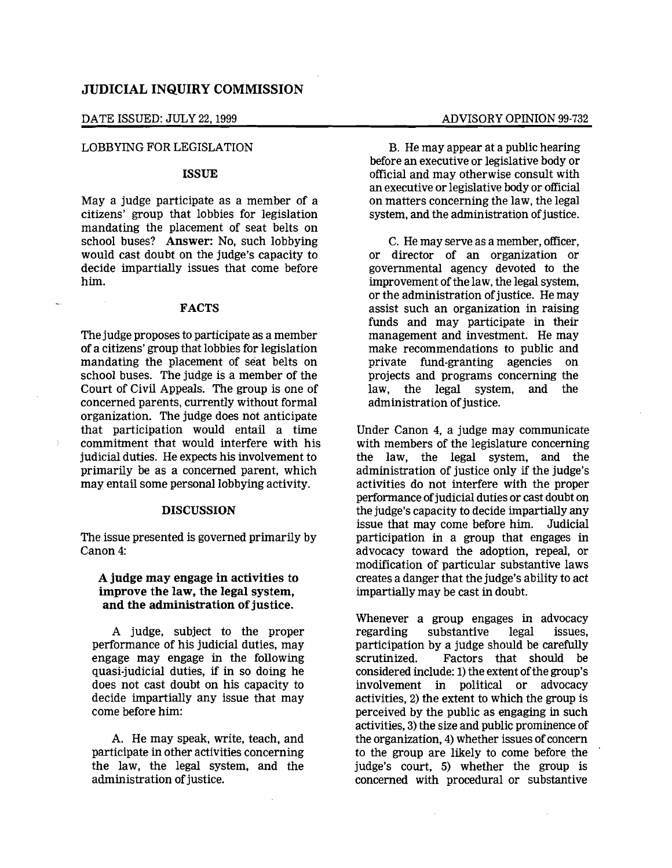# DATE ISSUED: JULY 22, 1999 ADVISORY OPINION 99-732

## LOBBYING FOR LEGISLATION

### ISSUE

May a judge participate as a member of a citizens' group that lobbies for legislation mandating the placement of seat belts on school buses? Answer: No, such lobbying would cast doubt on the judge's capacity to decide impartially issues that come before him.

#### FACTS

The judge proposes to participate as a member of a citizens' group that lobbies for legislation mandating the placement of seat belts on school buses. The judge is a member of the Court of Civil Appeals. The group is one of concerned parents, currently without formal organization. The judge does not anticipate that participation would entail a time commitment that would interfere with his judicial duties. He expects his involvement to primarily be as a concerned parent, which may entail some personal lobbying activity.

#### **DISCUSSION**

The issue presented is governed primarily by Canon 4:

# A judge may engage in activities to improve the law, the legal system, and the administration of justice.

A judge, subject to the proper performance of his judicial duties, may engage may engage in the following quasi-judicial duties, if in so doing he does not cast doubt on his capacity to decide impartially any issue that may come before him:

A. He may speak, write, teach, and participate in other activities concerning the law, the legal system, and the administration of justice.

B. He may appear at a public hearing before an executive or legislative body or official and may otherwise consult with an executive or legislative body or official on matters concerning the law, the legal system, and the administration of justice.

C. He may serve as a member, officer, or director of an organization or governmental agency devoted to the improvement of the law, the legal system, or the administration of justice. He may assist such an organization in raising funds and may participate in their management and investment. He may make recommendations to public and private fund-granting agencies on projects and programs concerning the<br>law. the legal system, and the law, the legal system, administration of justice.

Under Canon 4, a judge may communicate with members of the legislature concerning the law, the legal system, and the administration of justice only if the judge's activities do not interfere with the proper performance of judicial duties or cast doubt on the judge's capacity to decide impartially any issue that may come before him. Judicial participation in a group that engages in advocacy toward the adoption, repeal, or modification of particular substantive laws creates a danger that the judge's ability to act impartially may be cast in doubt.

Whenever a group engages in advocacy regarding substantive legal issues, participation by a judge should be carefully scrutinized. Factors that should be considered include: 1) the extent of the group's involvement in political or advocacy activities, 2) the extent to which the group is perceived by the public as engaging in such activities, 3) the size and public prominence of the organization, 4) whether issues of concern to the group are likely to come before the judge's court, 5) whether the group is concerned with procedural or substantive